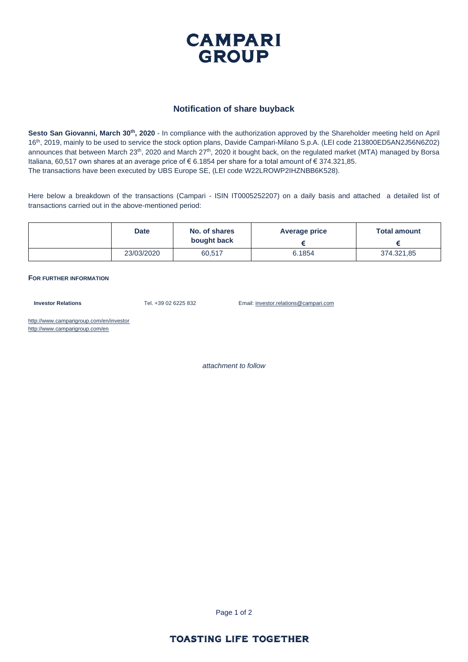

#### **Notification of share buyback**

**Sesto San Giovanni, March 30th, 2020** - In compliance with the authorization approved by the Shareholder meeting held on April 16th, 2019, mainly to be used to service the stock option plans, Davide Campari-Milano S.p.A. (LEI code 213800ED5AN2J56N6Z02) announces that between March  $23<sup>th</sup>$ , 2020 and March  $27<sup>th</sup>$ , 2020 it bought back, on the regulated market (MTA) managed by Borsa Italiana, 60,517 own shares at an average price of € 6.1854 per share for a total amount of € 374.321,85. The transactions have been executed by UBS Europe SE, (LEI code W22LROWP2IHZNBB6K528).

Here below a breakdown of the transactions (Campari - ISIN IT0005252207) on a daily basis and attached a detailed list of transactions carried out in the above-mentioned period:

| <b>Date</b> | No. of shares<br>bought back | Average price | <b>Total amount</b> |  |
|-------------|------------------------------|---------------|---------------------|--|
|             |                              |               |                     |  |
| 23/03/2020  | 60,517                       | 6.1854        | 374.321,85          |  |

#### **FOR FURTHER INFORMATION**

**Investor Relations** Tel. +39 02 6225 832 Email: investor.relations@campari.com

http://www.camparigroup.com/en/investor http://www.camparigroup.com/en

*attachment to follow*

Page 1 of 2

## **TOASTING LIFE TOGETHER**